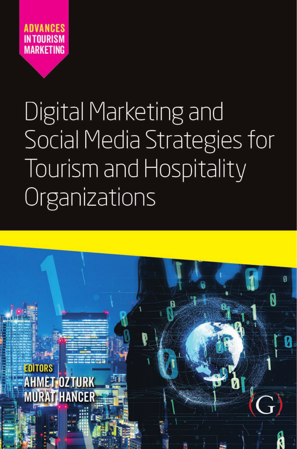

# Digital Marketing and **Social Media Strategies for** Tourism and Hospitality Organizations

<span id="page-0-0"></span>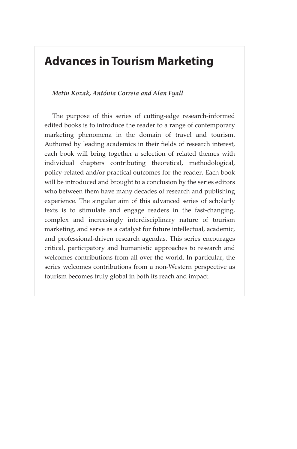## **Advances in Tourism Marketing**

#### *Metin Kozak, Antónia Correia and Alan Fyall*

The purpose of this series of cutting-edge research-informed edited books is to introduce the reader to a range of contemporary marketing phenomena in the domain of travel and tourism. Authored by leading academics in their fields of research interest, each book will bring together a selection of related themes with individual chapters contributing theoretical, methodological, policy-related and/or practical outcomes for the reader. Each book will be introduced and brought to a conclusion by the series editors who between them have many decades of research and publishing experience. The singular aim of this advanced series of scholarly texts is to stimulate and engage readers in the fast-changing, complex and increasingly interdisciplinary nature of tourism marketing, and serve as a catalyst for future intellectual, academic, and professional-driven research agendas. This series encourages critical, participatory and humanistic approaches to research and welcomes contributions from all over the world. In particular, the series welcomes contributions from a non-Western perspective as tourism becomes truly global in both its reach and impact.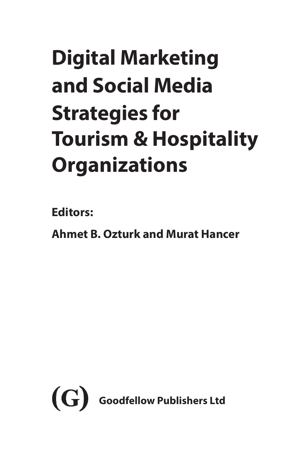## **Digital Marketing and Social Media Strategies for Tourism & Hospitality Organizations**

**Editors:**

**Ahmet B. Ozturk and Murat Hancer**

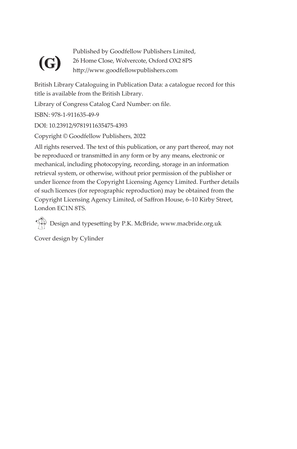## **(G)**

Published by Goodfellow Publishers Limited, 26 Home Close, Wolvercote, Oxford OX2 8PS http://www.goodfellowpublishers.com

British Library Cataloguing in Publication Data: a catalogue record for this title is available from the British Library.

Library of Congress Catalog Card Number: on file.

ISBN: 978-1-911635-49-9

DOI: 10.23912/9781911635475-4393

Copyright © Goodfellow Publishers, 2022

All rights reserved. The text of this publication, or any part thereof, may not be reproduced or transmitted in any form or by any means, electronic or mechanical, including photocopying, recording, storage in an information retrieval system, or otherwise, without prior permission of the publisher or under licence from the Copyright Licensing Agency Limited. Further details of such licences (for reprographic reproduction) may be obtained from the Copyright Licensing Agency Limited, of Saffron House, 6–10 Kirby Street, London EC1N 8TS.

Design and typesetting by P.K. McBride, www.macbride.org.uk

Cover design by Cylinder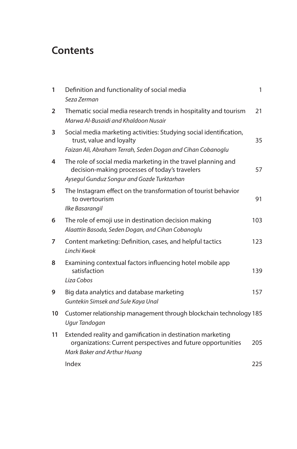### **Contents**

| 1              | Definition and functionality of social media<br>Seza Zerman                                                                                                   | 1   |
|----------------|---------------------------------------------------------------------------------------------------------------------------------------------------------------|-----|
| $\overline{2}$ | Thematic social media research trends in hospitality and tourism<br>Marwa Al-Busaidi and Khaldoon Nusair                                                      | 21  |
| 3              | Social media marketing activities: Studying social identification,<br>trust, value and loyalty<br>Faizan Ali, Abraham Terrah, Seden Dogan and Cihan Cobanoglu | 35  |
| 4              | The role of social media marketing in the travel planning and<br>decision-making processes of today's travelers<br>Aysegul Gunduz Songur and Gozde Turktarhan | 57  |
| 5              | The Instagram effect on the transformation of tourist behavior<br>to overtourism<br>Ilke Basarangil                                                           | 91  |
| 6              | The role of emoji use in destination decision making<br>Alaattin Basoda, Seden Dogan, and Cihan Cobanoglu                                                     | 103 |
| 7              | Content marketing: Definition, cases, and helpful tactics<br>Linchi Kwok                                                                                      | 123 |
| 8              | Examining contextual factors influencing hotel mobile app<br>satisfaction<br>Liza Cobos                                                                       | 139 |
| 9              | Big data analytics and database marketing<br>Guntekin Simsek and Sule Kaya Unal                                                                               | 157 |
| 10             | Customer relationship management through blockchain technology 185<br>Ugur Tandogan                                                                           |     |
| 11             | Extended reality and gamification in destination marketing<br>organizations: Current perspectives and future opportunities<br>Mark Baker and Arthur Huang     | 205 |
|                | Index                                                                                                                                                         | 225 |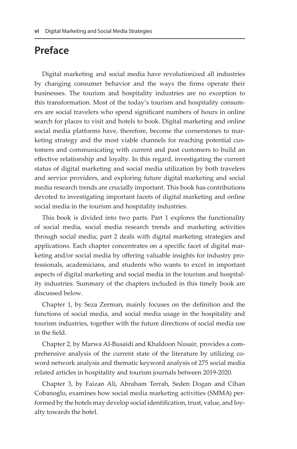#### **Preface**

Digital marketing and social media have revolutionized all industries by changing consumer behavior and the ways the firms operate their businesses. The tourism and hospitality industries are no exception to this transformation. Most of the today's tourism and hospitality consumers are social travelers who spend significant numbers of hours in online search for places to visit and hotels to book. Digital marketing and online social media platforms have, therefore, become the cornerstones to marketing strategy and the most viable channels for reaching potential customers and communicating with current and past customers to build an effective relationship and loyalty. In this regard, investigating the current status of digital marketing and social media utilization by both travelers and service providers, and exploring future digital marketing and social media research trends are crucially important. This book has contributions devoted to investigating important facets of digital marketing and online social media in the tourism and hospitality industries.

This book is divided into two parts. Part 1 explores the functionality of social media, social media research trends and marketing activities through social media; part 2 deals with digital marketing strategies and applications. Each chapter concentrates on a specific facet of digital marketing and/or social media by offering valuable insights for industry professionals, academicians, and students who wants to excel in important aspects of digital marketing and social media in the tourism and hospitality industries. Summary of the chapters included in this timely book are discussed below.

Chapter 1, by Seza Zerman, mainly focuses on the definition and the functions of social media, and social media usage in the hospitality and tourism industries, together with the future directions of social media use in the field.

Chapter 2, by Marwa Al-Busaidi and Khaldoon Nusair, provides a comprehensive analysis of the current state of the literature by utilizing coword network analysis and thematic keyword analysis of 275 social media related articles in hospitality and tourism journals between 2019-2020.

Chapter 3, by Faizan Ali, Abraham Terrah, Seden Dogan and Cihan Cobanoglu, examines how social media marketing activities (SMMA) performed by the hotels may develop social identification, trust, value, and loyalty towards the hotel.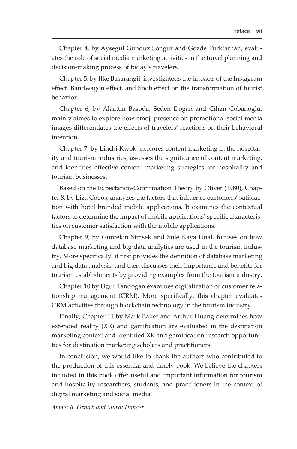Chapter 4, by Aysegul Gunduz Songur and Gozde Turktarhan, evaluates the role of social media marketing activities in the travel planning and decision-making process of today's travelers.

Chapter 5, by Ilke Basarangil, investigateds the impacts of the Instagram effect, Bandwagon effect, and Snob effect on the transformation of tourist behavior.

Chapter 6, by Alaattin Basoda, Seden Dogan and Cihan Cobanoglu, mainly aimes to explore how emoji presence on promotional social media images differentiates the effects of travelers' reactions on their behavioral intention.

Chapter 7, by Linchi Kwok, explores content marketing in the hospitality and tourism industries, assesses the significance of content marketing, and identifies effective content marketing strategies for hospitality and tourism businesses.

Based on the Expectation-Confirmation Theory by Oliver (1980), Chapter 8, by Liza Cobos, analyzes the factors that influence customers' satisfaction with hotel branded mobile applications. It examines the contextual factors to determine the impact of mobile applications' specific characteristics on customer satisfaction with the mobile applications.

Chapter 9, by Guntekin Simsek and Sule Kaya Unal, focuses on how database marketing and big data analytics are used in the tourism industry. More specifically, it first provides the definition of database marketing and big data analysis, and then discusses their importance and benefits for tourism establishments by providing examples from the tourism industry.

Chapter 10 by Ugur Tandogan examines digitalization of customer relationship management (CRM). More specifically, this chapter evaluates CRM activities through blockchain technology in the tourism industry.

Finally, Chapter 11 by Mark Baker and Arthur Huang determines how extended reality (XR) and gamification are evaluated in the destination marketing context and identified XR and gamification research opportunities for destination marketing scholars and practitioners.

In conclusion, we would like to thank the authors who contributed to the production of this essential and timely book. We believe the chapters included in this book offer useful and important information for tourism and hospitality researchers, students, and practitioners in the context of digital marketing and social media.

*Ahmet B. Ozturk and Murat Hancer*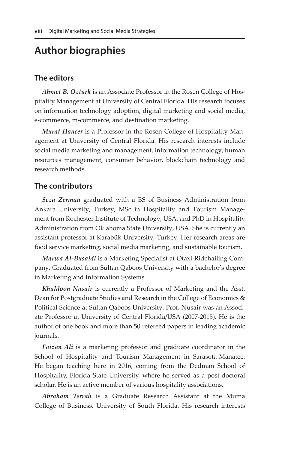### **Author biographies**

#### **The editors**

*Ahmet B. Ozturk* is an Associate Professor in the Rosen College of Hospitality Management at University of Central Florida. His research focuses on information technology adoption, digital marketing and social media, e-commerce, m-commerce, and destination marketing.

*Murat Hancer* is a Professor in the Rosen College of Hospitality Management at University of Central Florida. His research interests include social media marketing and management, information technology, human resources management, consumer behavior, blockchain technology and research methods.

#### **The contributors**

*Seza Zerman* graduated with a BS of Business Administration from Ankara University, Turkey, MSc in Hospitality and Tourism Management from Rochester Institute of Technology, USA, and PhD in Hospitality Administration from Oklahoma State University, USA. She is currently an assistant professor at Karabük University, Turkey. Her research areas are food service marketing, social media marketing, and sustainable tourism.

*Marwa Al-Busaidi* is a Marketing Specialist at Otaxi-Ridehailing Company. Graduated from Sultan Qaboos University with a bachelor's degree in Marketing and Information Systems.

*Khaldoon Nusair* is currently a Professor of Marketing and the Asst. Dean for Postgraduate Studies and Research in the College of Economics & Political Science at Sultan Qaboos University. Prof. Nusair was an Associate Professor at University of Central Florida/USA (2007-2015). He is the author of one book and more than 50 refereed papers in leading academic journals.

*Faizan Ali* is a marketing professor and graduate coordinator in the School of Hospitality and Tourism Management in Sarasota-Manatee. He began teaching here in 2016, coming from the Dedman School of Hospitality, Florida State University, where he served as a post-doctoral scholar. He is an active member of various hospitality associations.

*Abraham Terrah* is a Graduate Research Assistant at the Muma College of Business, University of South Florida. His research interests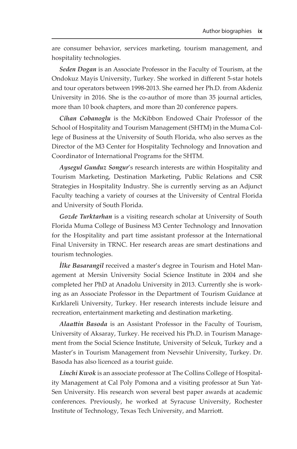are consumer behavior, services marketing, tourism management, and hospitality technologies.

*Seden Dogan* is an Associate Professor in the Faculty of Tourism, at the Ondokuz Mayis University, Turkey. She worked in different 5-star hotels and tour operators between 1998-2013. She earned her Ph.D. from Akdeniz University in 2016. She is the co-author of more than 35 journal articles, more than 10 book chapters, and more than 20 conference papers.

*Cihan Cobanoglu* is the McKibbon Endowed Chair Professor of the School of Hospitality and Tourism Management (SHTM) in the Muma College of Business at the University of South Florida, who also serves as the Director of the M3 Center for Hospitality Technology and Innovation and Coordinator of International Programs for the SHTM.

*Aysegul Gunduz Songur*'s research interests are within Hospitality and Tourism Marketing, Destination Marketing, Public Relations and CSR Strategies in Hospitality Industry. She is currently serving as an Adjunct Faculty teaching a variety of courses at the University of Central Florida and University of South Florida.

*Gozde Turktarhan* is a visiting research scholar at University of South Florida Muma College of Business M3 Center Technology and Innovation for the Hospitality and part time assistant professor at the International Final University in TRNC. Her research areas are smart destinations and tourism technologies.

*İlke Basarangil* received a master's degree in Tourism and Hotel Management at Mersin University Social Science Institute in 2004 and she completed her PhD at Anadolu University in 2013. Currently she is working as an Associate Professor in the Department of Tourism Guidance at Kırklareli University, Turkey. Her research interests include leisure and recreation, entertainment marketing and destination marketing.

*Alaattin Basoda* is an Assistant Professor in the Faculty of Tourism, University of Aksaray, Turkey. He received his Ph.D. in Tourism Management from the Social Science Institute, University of Selcuk, Turkey and a Master's in Tourism Management from Nevsehir University, Turkey. Dr. Basoda has also licenced as a tourist guide.

*Linchi Kwok* is an associate professor at The Collins College of Hospitality Management at Cal Poly Pomona and a visiting professor at Sun Yat-Sen University. His research won several best paper awards at academic conferences. Previously, he worked at Syracuse University, Rochester Institute of Technology, Texas Tech University, and Marriott.